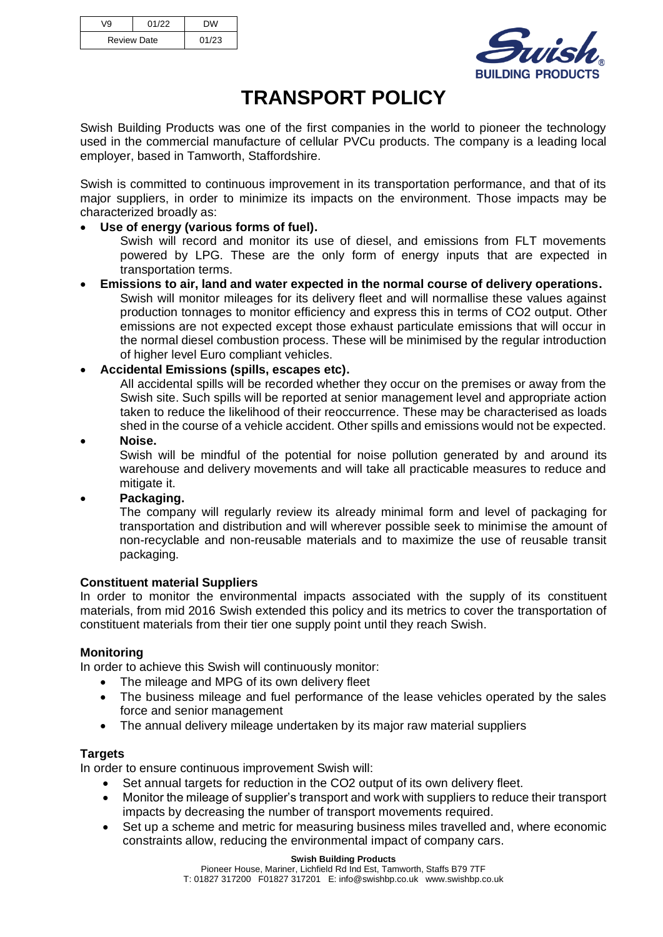| V9                 | 01/22 | <b>DW</b> |
|--------------------|-------|-----------|
| <b>Review Date</b> |       | 01/23     |



# **TRANSPORT POLICY**

Swish Building Products was one of the first companies in the world to pioneer the technology used in the commercial manufacture of cellular PVCu products. The company is a leading local employer, based in Tamworth, Staffordshire.

Swish is committed to continuous improvement in its transportation performance, and that of its major suppliers, in order to minimize its impacts on the environment. Those impacts may be characterized broadly as:

## • **Use of energy (various forms of fuel).**

Swish will record and monitor its use of diesel, and emissions from FLT movements powered by LPG. These are the only form of energy inputs that are expected in transportation terms.

- **Emissions to air, land and water expected in the normal course of delivery operations.** Swish will monitor mileages for its delivery fleet and will normallise these values against production tonnages to monitor efficiency and express this in terms of CO2 output. Other emissions are not expected except those exhaust particulate emissions that will occur in the normal diesel combustion process. These will be minimised by the regular introduction of higher level Euro compliant vehicles.
- **Accidental Emissions (spills, escapes etc).**

All accidental spills will be recorded whether they occur on the premises or away from the Swish site. Such spills will be reported at senior management level and appropriate action taken to reduce the likelihood of their reoccurrence. These may be characterised as loads shed in the course of a vehicle accident. Other spills and emissions would not be expected.

• **Noise.**

Swish will be mindful of the potential for noise pollution generated by and around its warehouse and delivery movements and will take all practicable measures to reduce and mitigate it.

### • **Packaging.**

The company will regularly review its already minimal form and level of packaging for transportation and distribution and will wherever possible seek to minimise the amount of non-recyclable and non-reusable materials and to maximize the use of reusable transit packaging.

### **Constituent material Suppliers**

In order to monitor the environmental impacts associated with the supply of its constituent materials, from mid 2016 Swish extended this policy and its metrics to cover the transportation of constituent materials from their tier one supply point until they reach Swish.

### **Monitoring**

In order to achieve this Swish will continuously monitor:

- The mileage and MPG of its own delivery fleet
- The business mileage and fuel performance of the lease vehicles operated by the sales force and senior management
- The annual delivery mileage undertaken by its major raw material suppliers

### **Targets**

In order to ensure continuous improvement Swish will:

- Set annual targets for reduction in the CO2 output of its own delivery fleet.
- Monitor the mileage of supplier's transport and work with suppliers to reduce their transport impacts by decreasing the number of transport movements required.
- Set up a scheme and metric for measuring business miles travelled and, where economic constraints allow, reducing the environmental impact of company cars.

#### **Swish Building Products**

Pioneer House, Mariner, Lichfield Rd Ind Est, Tamworth, Staffs B79 7TF T: 01827 317200 F01827 317201 E: info@swishbp.co.uk www.swishbp.co.uk